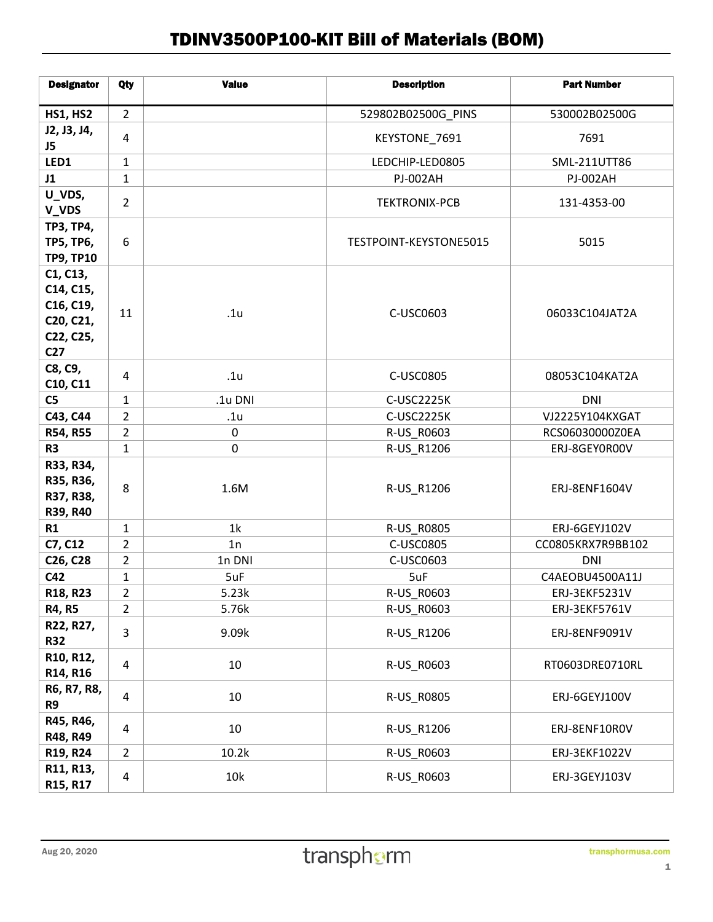## TDINV3500P100-KIT Bill of Materials (BOM)

| <b>Designator</b>                                                               | Qty            | <b>Value</b>    | <b>Description</b>     | <b>Part Number</b> |
|---------------------------------------------------------------------------------|----------------|-----------------|------------------------|--------------------|
| <b>HS1, HS2</b>                                                                 | $\overline{2}$ |                 | 529802B02500G_PINS     | 530002B02500G      |
| J2, J3, J4,<br>J5                                                               | 4              |                 | KEYSTONE_7691          | 7691               |
| LED1                                                                            | $\mathbf{1}$   |                 | LEDCHIP-LED0805        | SML-211UTT86       |
| J1                                                                              | $\mathbf{1}$   |                 | <b>PJ-002AH</b>        | <b>PJ-002AH</b>    |
| U_VDS,<br>V_VDS                                                                 | $\overline{2}$ |                 | <b>TEKTRONIX-PCB</b>   | 131-4353-00        |
| <b>TP3, TP4,</b><br><b>TP5, TP6,</b><br><b>TP9, TP10</b>                        | 6              |                 | TESTPOINT-KEYSTONE5015 | 5015               |
| C1, C13,<br>C14, C15,<br>C16, C19,<br>C20, C21,<br>C22, C25,<br>C <sub>27</sub> | 11             | .1u             | C-USC0603              | 06033C104JAT2A     |
| C8, C9,<br>C10, C11                                                             | 4              | .1 <sub>u</sub> | C-USC0805              | 08053C104KAT2A     |
| C <sub>5</sub>                                                                  | $\mathbf{1}$   | .1u DNI         | C-USC2225K             | <b>DNI</b>         |
| C43, C44                                                                        | $\overline{2}$ | .1u             | C-USC2225K             | VJ2225Y104KXGAT    |
| R54, R55                                                                        | $\overline{2}$ | $\pmb{0}$       | R-US_R0603             | RCS06030000Z0EA    |
| R <sub>3</sub>                                                                  | $\mathbf{1}$   | 0               | R-US_R1206             | ERJ-8GEY0R00V      |
| R33, R34,<br>R35, R36,<br>R37, R38,<br>R39, R40                                 | 8              | 1.6M            | R-US_R1206             | ERJ-8ENF1604V      |
| R1                                                                              | 1              | 1k              | R-US_R0805             | ERJ-6GEYJ102V      |
| C7, C12                                                                         | $\overline{2}$ | 1n              | C-USC0805              | CC0805KRX7R9BB102  |
| C26, C28                                                                        | $\overline{2}$ | 1n DNI          | C-USC0603              | <b>DNI</b>         |
| C42                                                                             | $\mathbf 1$    | 5uF             | 5uF                    | C4AEOBU4500A11J    |
| R18, R23                                                                        | $\overline{2}$ | 5.23k           | R-US_R0603             | ERJ-3EKF5231V      |
| <b>R4, R5</b>                                                                   | $\overline{2}$ | 5.76k           | R-US_R0603             | ERJ-3EKF5761V      |
| R22, R27,<br><b>R32</b>                                                         | 3              | 9.09k           | R-US_R1206             | ERJ-8ENF9091V      |
| R10, R12,<br>R14, R16                                                           | 4              | 10              | R-US_R0603             | RT0603DRE0710RL    |
| R6, R7, R8,<br>R9                                                               | $\sqrt{4}$     | 10              | R-US_R0805             | ERJ-6GEYJ100V      |
| R45, R46,<br>R48, R49                                                           | 4              | 10              | R-US_R1206             | ERJ-8ENF10R0V      |
| R19, R24                                                                        | 2              | 10.2k           | R-US_R0603             | ERJ-3EKF1022V      |
| R11, R13,<br>R15, R17                                                           | 4              | 10k             | R-US_R0603             | ERJ-3GEYJ103V      |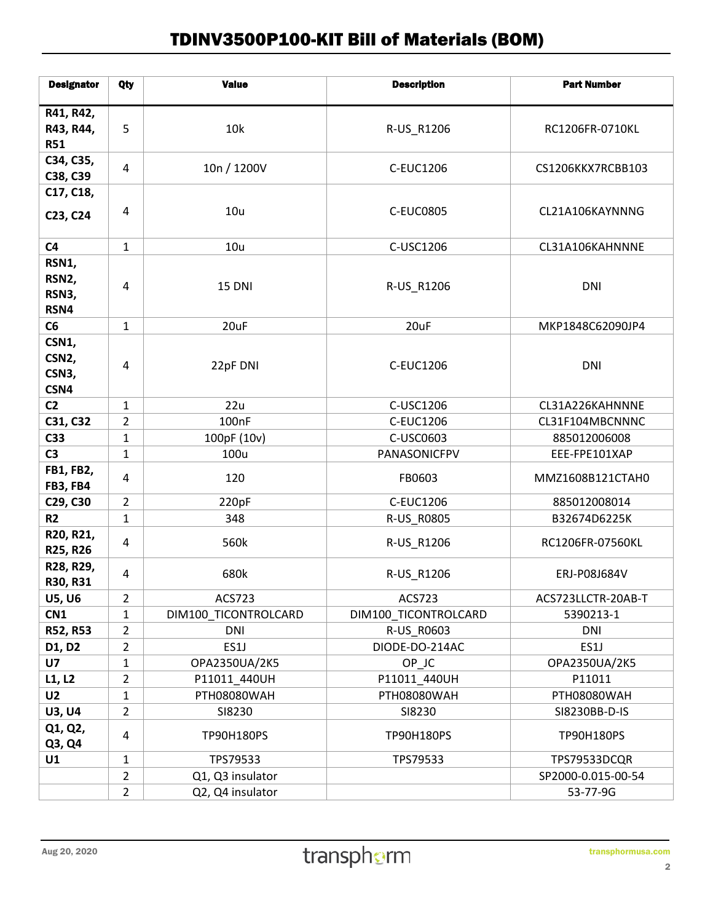## TDINV3500P100-KIT Bill of Materials (BOM)

| <b>Designator</b>                  | Qty               | <b>Value</b>          | <b>Description</b>    | <b>Part Number</b>           |
|------------------------------------|-------------------|-----------------------|-----------------------|------------------------------|
| R41, R42,                          |                   |                       |                       |                              |
| R43, R44,                          | 5                 | 10k                   | R-US_R1206            | RC1206FR-0710KL              |
| <b>R51</b>                         |                   |                       |                       |                              |
| C34, C35,                          | $\overline{4}$    | 10n / 1200V           | <b>C-EUC1206</b>      | CS1206KKX7RCBB103            |
| C38, C39<br>C17, C18,              |                   |                       |                       |                              |
|                                    | $\overline{4}$    | 10u                   | <b>C-EUC0805</b>      | CL21A106KAYNNNG              |
| C23, C24                           |                   |                       |                       |                              |
| C <sub>4</sub>                     | $\mathbf{1}$      | 10u                   | C-USC1206             | CL31A106KAHNNNE              |
| RSN1,                              |                   |                       |                       |                              |
| RSN2,                              | $\overline{4}$    | <b>15 DNI</b>         | R-US_R1206            | <b>DNI</b>                   |
| RSN3,<br>RSN4                      |                   |                       |                       |                              |
| C6                                 | $\mathbf{1}$      | 20uF                  | 20uF                  | MKP1848C62090JP4             |
| CSN1,                              |                   |                       |                       |                              |
| CSN <sub>2</sub> ,                 |                   |                       |                       |                              |
| CSN3,                              | 4                 | 22pF DNI              | <b>C-EUC1206</b>      | <b>DNI</b>                   |
| CSN4                               |                   |                       |                       |                              |
| C <sub>2</sub>                     | $\mathbf{1}$      | 22u                   | C-USC1206             | CL31A226KAHNNNE              |
| C31, C32                           | $\overline{2}$    | 100 <sub>nF</sub>     | C-EUC1206             | CL31F104MBCNNNC              |
| C33                                | $\mathbf{1}$      | 100pF (10v)           | C-USC0603             | 885012006008                 |
| C <sub>3</sub><br><b>FB1, FB2,</b> | $\mathbf{1}$      | 100u                  | PANASONICFPV          | EEE-FPE101XAP                |
| <b>FB3, FB4</b>                    | $\overline{4}$    | 120                   | FB0603                | MMZ1608B121CTAH0             |
| C29, C30                           | 2                 | 220pF                 | C-EUC1206             | 885012008014                 |
| R <sub>2</sub>                     | $\mathbf{1}$      | 348                   | R-US_R0805            | B32674D6225K                 |
| R20, R21,<br>R25, R26              | $\pmb{4}$         | 560k                  | R-US_R1206            | RC1206FR-07560KL             |
| R28, R29,                          |                   |                       |                       |                              |
| R30, R31                           | 4                 | 680k                  | R-US_R1206            | ERJ-P08J684V                 |
| <b>U5, U6</b>                      | 2                 | ACS723                | ACS723                | ACS723LLCTR-20AB-T           |
| CN1                                | $\mathbf{1}$      | DIM100 TICONTROLCARD  | DIM100 TICONTROLCARD  | 5390213-1                    |
| R52, R53                           | $\overline{2}$    | <b>DNI</b>            | R-US R0603            | <b>DNI</b>                   |
| D1, D2                             | 2                 | ES1J                  | DIODE-DO-214AC        | ES1J                         |
| U7                                 | $\mathbf{1}$      | OPA2350UA/2K5         | OP_JC                 | OPA2350UA/2K5                |
| L1, L2                             | $\overline{c}$    | P11011_440UH          | P11011_440UH          | P11011                       |
| U <sub>2</sub><br><b>U3, U4</b>    | $\mathbf{1}$<br>2 | PTH08080WAH<br>SI8230 | PTH08080WAH<br>SI8230 | PTH08080WAH<br>SI8230BB-D-IS |
| Q1, Q2,                            |                   |                       |                       |                              |
| Q3, Q4                             | $\overline{4}$    | TP90H180PS            | TP90H180PS            | TP90H180PS                   |
| U1                                 | 1                 | TPS79533              | TPS79533              | TPS79533DCQR                 |
|                                    | $\overline{2}$    | Q1, Q3 insulator      |                       | SP2000-0.015-00-54           |
|                                    | $\overline{2}$    | Q2, Q4 insulator      |                       | 53-77-9G                     |